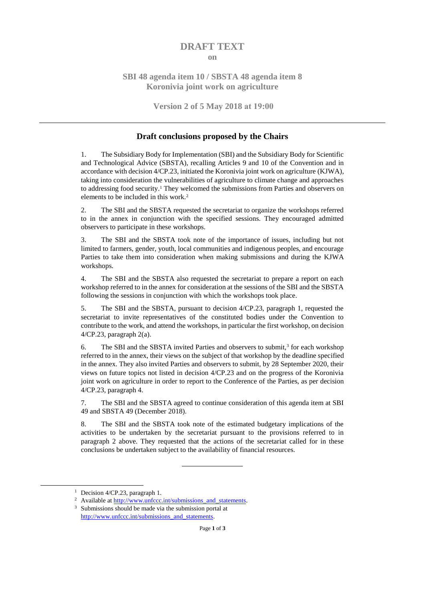#### **DRAFT TEXT**

#### **on**

## **SBI 48 agenda item 10 / SBSTA 48 agenda item 8 Koronivia joint work on agriculture**

#### **Version 2 of 5 May 2018 at 19:00**

#### **Draft conclusions proposed by the Chairs**

1. The Subsidiary Body for Implementation (SBI) and the Subsidiary Body for Scientific and Technological Advice (SBSTA), recalling Articles 9 and 10 of the Convention and in accordance with decision 4/CP.23, initiated the Koronivia joint work on agriculture (KJWA), taking into consideration the vulnerabilities of agriculture to climate change and approaches to addressing food security.<sup>1</sup> They welcomed the submissions from Parties and observers on elements to be included in this work.<sup>2</sup>

2. The SBI and the SBSTA requested the secretariat to organize the workshops referred to in the annex in conjunction with the specified sessions. They encouraged admitted observers to participate in these workshops.

3. The SBI and the SBSTA took note of the importance of issues, including but not limited to farmers, gender, youth, local communities and indigenous peoples, and encourage Parties to take them into consideration when making submissions and during the KJWA workshops.

4. The SBI and the SBSTA also requested the secretariat to prepare a report on each workshop referred to in the annex for consideration at the sessions of the SBI and the SBSTA following the sessions in conjunction with which the workshops took place.

5. The SBI and the SBSTA, pursuant to decision 4/CP.23, paragraph 1, requested the secretariat to invite representatives of the constituted bodies under the Convention to contribute to the work, and attend the workshops, in particular the first workshop, on decision 4/CP.23, paragraph 2(a).

6. The SBI and the SBSTA invited Parties and observers to submit, $3$  for each workshop referred to in the annex, their views on the subject of that workshop by the deadline specified in the annex. They also invited Parties and observers to submit, by 28 September 2020, their views on future topics not listed in decision 4/CP.23 and on the progress of the Koronivia joint work on agriculture in order to report to the Conference of the Parties, as per decision 4/CP.23, paragraph 4.

7. The SBI and the SBSTA agreed to continue consideration of this agenda item at SBI 49 and SBSTA 49 (December 2018).

8. The SBI and the SBSTA took note of the estimated budgetary implications of the activities to be undertaken by the secretariat pursuant to the provisions referred to in paragraph 2 above. They requested that the actions of the secretariat called for in these conclusions be undertaken subject to the availability of financial resources.

-

<sup>&</sup>lt;sup>1</sup> Decision  $4$ /CP.23, paragraph 1.

<sup>&</sup>lt;sup>2</sup> Available at [http://www.unfccc.int/submissions\\_and\\_statements.](http://www.unfccc.int/submissions_and_statements)

<sup>3</sup> Submissions should be made via the submission portal at [http://www.unfccc.int/submissions\\_and\\_statements.](http://www.unfccc.int/submissions_and_statements)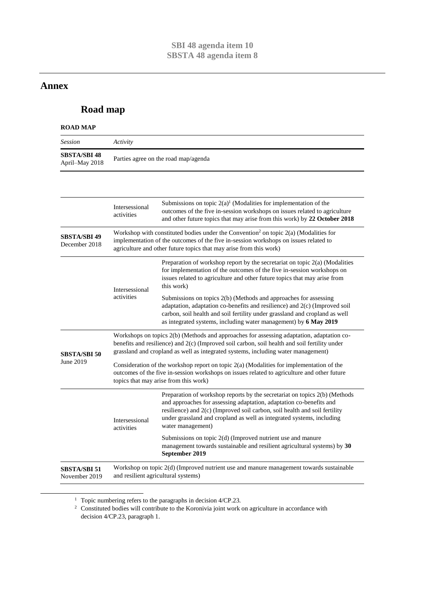# **Annex**

-

# **Road map**

## **ROAD MAP**

| <b>Session</b>                        | Activity                                                                                                                                                                                                                                                                        |                                                                                                                                                                                                                                                                                                                               |  |
|---------------------------------------|---------------------------------------------------------------------------------------------------------------------------------------------------------------------------------------------------------------------------------------------------------------------------------|-------------------------------------------------------------------------------------------------------------------------------------------------------------------------------------------------------------------------------------------------------------------------------------------------------------------------------|--|
| <b>SBSTA/SBI 48</b><br>April-May 2018 | Parties agree on the road map/agenda                                                                                                                                                                                                                                            |                                                                                                                                                                                                                                                                                                                               |  |
|                                       |                                                                                                                                                                                                                                                                                 |                                                                                                                                                                                                                                                                                                                               |  |
|                                       | Intersessional<br>activities                                                                                                                                                                                                                                                    | Submissions on topic $2(a)^1$ (Modalities for implementation of the<br>outcomes of the five in-session workshops on issues related to agriculture<br>and other future topics that may arise from this work) by 22 October 2018                                                                                                |  |
| <b>SBSTA/SBI 49</b><br>December 2018  | Workshop with constituted bodies under the Convention <sup>2</sup> on topic $2(a)$ (Modalities for<br>implementation of the outcomes of the five in-session workshops on issues related to<br>agriculture and other future topics that may arise from this work)                |                                                                                                                                                                                                                                                                                                                               |  |
|                                       | Intersessional<br>activities                                                                                                                                                                                                                                                    | Preparation of workshop report by the secretariat on topic 2(a) (Modalities<br>for implementation of the outcomes of the five in-session workshops on<br>issues related to agriculture and other future topics that may arise from<br>this work)                                                                              |  |
|                                       |                                                                                                                                                                                                                                                                                 | Submissions on topics 2(b) (Methods and approaches for assessing<br>adaptation, adaptation co-benefits and resilience) and 2(c) (Improved soil<br>carbon, soil health and soil fertility under grassland and cropland as well<br>as integrated systems, including water management) by 6 May 2019                             |  |
| <b>SBSTA/SBI 50</b><br>June 2019      | Workshops on topics 2(b) (Methods and approaches for assessing adaptation, adaptation co-<br>benefits and resilience) and 2(c) (Improved soil carbon, soil health and soil fertility under<br>grassland and cropland as well as integrated systems, including water management) |                                                                                                                                                                                                                                                                                                                               |  |
|                                       | Consideration of the workshop report on topic $2(a)$ (Modalities for implementation of the<br>outcomes of the five in-session workshops on issues related to agriculture and other future<br>topics that may arise from this work)                                              |                                                                                                                                                                                                                                                                                                                               |  |
|                                       | Intersessional<br>activities                                                                                                                                                                                                                                                    | Preparation of workshop reports by the secretariat on topics 2(b) (Methods<br>and approaches for assessing adaptation, adaptation co-benefits and<br>resilience) and 2(c) (Improved soil carbon, soil health and soil fertility<br>under grassland and cropland as well as integrated systems, including<br>water management) |  |
|                                       |                                                                                                                                                                                                                                                                                 | Submissions on topic 2(d) (Improved nutrient use and manure<br>management towards sustainable and resilient agricultural systems) by 30<br>September 2019                                                                                                                                                                     |  |
| <b>SBSTA/SBI 51</b><br>November 2019  | Workshop on topic 2(d) (Improved nutrient use and manure management towards sustainable<br>and resilient agricultural systems)                                                                                                                                                  |                                                                                                                                                                                                                                                                                                                               |  |

<sup>&</sup>lt;sup>1</sup> Topic numbering refers to the paragraphs in decision 4/CP.23.

 $2^{\circ}$  Constituted bodies will contribute to the Koronivia joint work on agriculture in accordance with decision 4/CP.23, paragraph 1.